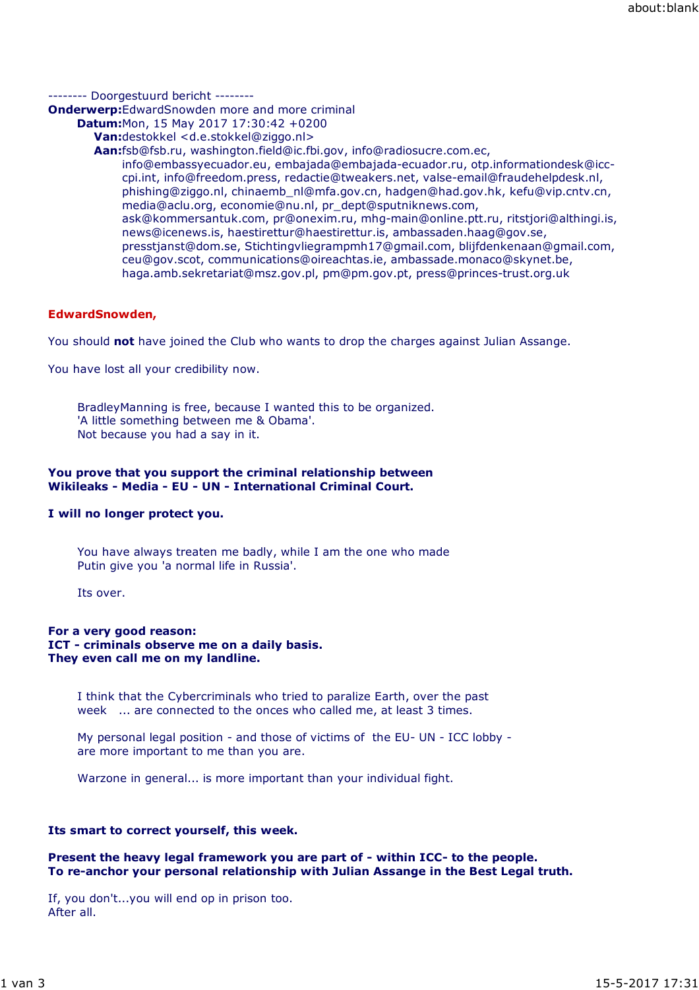-------- Doorgestuurd bericht --------

**Onderwerp:**EdwardSnowden more and more criminal

- **Datum:**Mon, 15 May 2017 17:30:42 +0200
	- **Van:**destokkel <d.e.stokkel@ziggo.nl>
	- **Aan:**fsb@fsb.ru, washington.field@ic.fbi.gov, info@radiosucre.com.ec,

info@embassyecuador.eu, embajada@embajada-ecuador.ru, otp.informationdesk@icccpi.int, info@freedom.press, redactie@tweakers.net, valse-email@fraudehelpdesk.nl, phishing@ziggo.nl, chinaemb\_nl@mfa.gov.cn, hadgen@had.gov.hk, kefu@vip.cntv.cn, media@aclu.org, economie@nu.nl, pr\_dept@sputniknews.com, ask@kommersantuk.com, pr@onexim.ru, mhg-main@online.ptt.ru, ritstjori@althingi.is, news@icenews.is, haestirettur@haestirettur.is, ambassaden.haag@gov.se, presstjanst@dom.se, Stichtingvliegrampmh17@gmail.com, blijfdenkenaan@gmail.com, ceu@gov.scot, communications@oireachtas.ie, ambassade.monaco@skynet.be, haga.amb.sekretariat@msz.gov.pl, pm@pm.gov.pt, press@princes-trust.org.uk

# **EdwardSnowden,**

You should **not** have joined the Club who wants to drop the charges against Julian Assange.

You have lost all your credibility now.

BradleyManning is free, because I wanted this to be organized. 'A little something between me & Obama'. Not because you had a say in it.

### **You prove that you support the criminal relationship between Wikileaks - Media - EU - UN - International Criminal Court.**

# **I will no longer protect you.**

You have always treaten me badly, while I am the one who made Putin give you 'a normal life in Russia'.

Its over.

### **For a very good reason: ICT - criminals observe me on a daily basis. They even call me on my landline.**

I think that the Cybercriminals who tried to paralize Earth, over the past week ... are connected to the onces who called me, at least 3 times.

My personal legal position - and those of victims of the EU- UN - ICC lobby are more important to me than you are.

Warzone in general... is more important than your individual fight.

# **Its smart to correct yourself, this week.**

### **Present the heavy legal framework you are part of - within ICC- to the people. To re-anchor your personal relationship with Julian Assange in the Best Legal truth.**

If, you don't...you will end op in prison too. After all.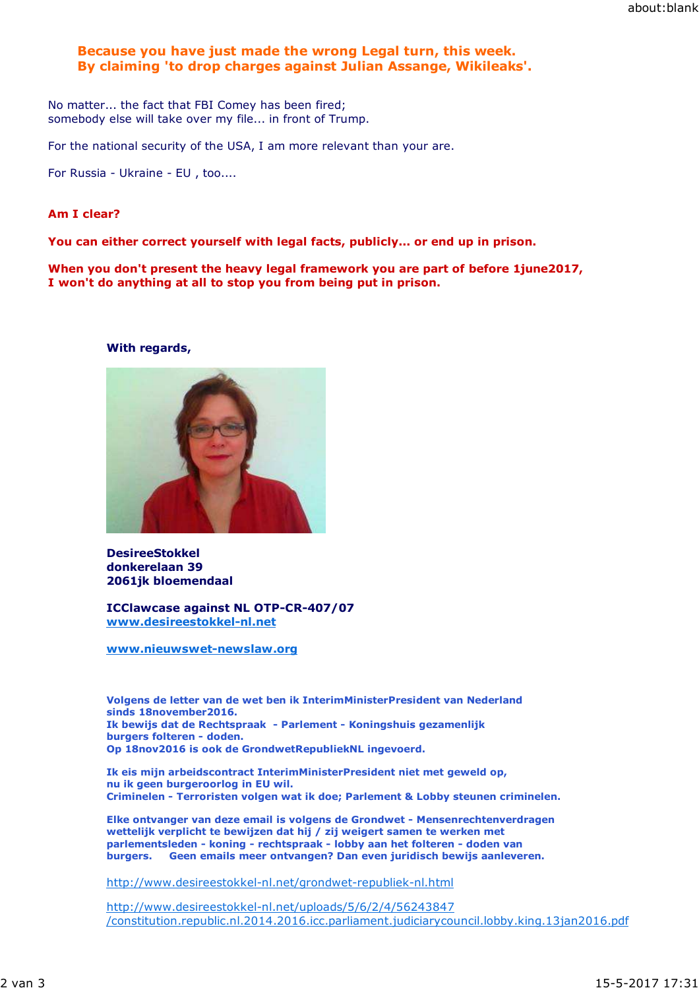## **Because you have just made the wrong Legal turn, this week. By claiming 'to drop charges against Julian Assange, Wikileaks'.**

No matter... the fact that FBI Comey has been fired; somebody else will take over my file... in front of Trump.

For the national security of the USA, I am more relevant than your are.

For Russia - Ukraine - EU , too....

#### **Am I clear?**

**You can either correct yourself with legal facts, publicly... or end up in prison.**

**When you don't present the heavy legal framework you are part of before 1june2017, I won't do anything at all to stop you from being put in prison.**

### **With regards,**



#### **DesireeStokkel donkerelaan 39 2061jk bloemendaal**

**ICClawcase against NL OTP-CR-407/07 www.desireestokkel-nl.net**

**www.nieuwswet-newslaw.org**

**Volgens de letter van de wet ben ik InterimMinisterPresident van Nederland sinds 18november2016. Ik bewijs dat de Rechtspraak - Parlement - Koningshuis gezamenlijk burgers folteren - doden. Op 18nov2016 is ook de GrondwetRepubliekNL ingevoerd.**

**Ik eis mijn arbeidscontract InterimMinisterPresident niet met geweld op, nu ik geen burgeroorlog in EU wil. Criminelen - Terroristen volgen wat ik doe; Parlement & Lobby steunen criminelen.**

**Elke ontvanger van deze email is volgens de Grondwet - Mensenrechtenverdragen wettelijk verplicht te bewijzen dat hij / zij weigert samen te werken met parlementsleden - koning - rechtspraak - lobby aan het folteren - doden van burgers. Geen emails meer ontvangen? Dan even juridisch bewijs aanleveren.**

http://www.desireestokkel-nl.net/grondwet-republiek-nl.html

http://www.desireestokkel-nl.net/uploads/5/6/2/4/56243847 /constitution.republic.nl.2014.2016.icc.parliament.judiciarycouncil.lobby.king.13jan2016.pdf